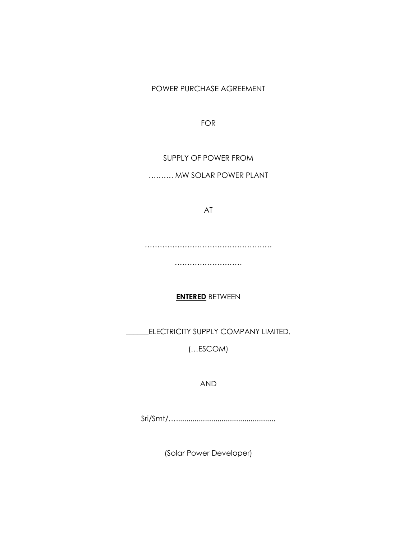POWER PURCHASE AGREEMENT

FOR

SUPPLY OF POWER FROM

………. MW SOLAR POWER PLANT

AT

…………………………………………………

………………………

# **ENTERED** BETWEEN

\_ELECTRICITY SUPPLY COMPANY LIMITED.

(…ESCOM)

AND

Sri/Smt/…................................................

(Solar Power Developer)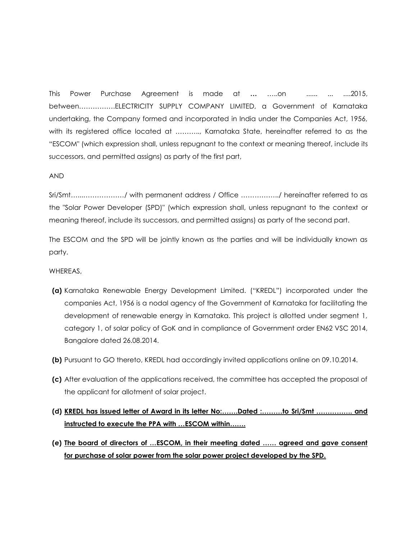This Power Purchase Agreement is made at **…** …..on ...... ... ....2015, between…………….ELECTRICITY SUPPLY COMPANY LIMITED, a Government of Karnataka undertaking, the Company formed and incorporated in India under the Companies Act, 1956, with its registered office located at ……….., Karnataka State, hereinafter referred to as the "ESCOM" (which expression shall, unless repugnant to the context or meaning thereof, include its successors, and permitted assigns) as party of the first part,

## AND

Sri/Smt…...………………/ with permanent address / Office ……………../ hereinafter referred to as the "Solar Power Developer (SPD)" (which expression shall, unless repugnant to the context or meaning thereof, include its successors, and permitted assigns) as party of the second part.

The ESCOM and the SPD will be jointly known as the parties and will be individually known as party.

#### WHEREAS,

- **(a)** Karnataka Renewable Energy Development Limited. ("KREDL") incorporated under the companies Act, 1956 is a nodal agency of the Government of Karnataka for facilitating the development of renewable energy in Karnataka. This project is allotted under segment 1, category 1, of solar policy of GoK and in compliance of Government order EN62 VSC 2014, Bangalore dated 26.08.2014.
- **(b)** Pursuant to GO thereto, KREDL had accordingly invited applications online on 09.10.2014.
- **(c)** After evaluation of the applications received, the committee has accepted the proposal of the applicant for allotment of solar project.
- **(d) KREDL has issued letter of Award in its letter No:…….Dated :………to Sri/Smt ……………. and instructed to execute the PPA with …ESCOM within…….**
- **(e) The board of directors of …ESCOM, in their meeting dated …… agreed and gave consent for purchase of solar power from the solar power project developed by the SPD.**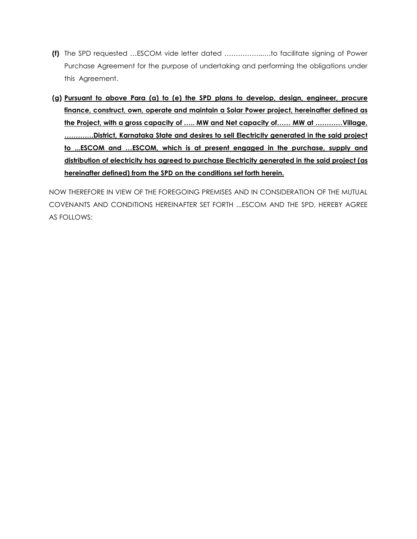- **(f)** The SPD requested …ESCOM vide letter dated ……………..….to facilitate signing of Power Purchase Agreement for the purpose of undertaking and performing the obligations under this Agreement.
- **(g) Pursuant to above Para (a) to (e) the SPD plans to develop, design, engineer, procure finance, construct, own, operate and maintain a Solar Power project, hereinafter defined as the Project, with a gross capacity of ….. MW and Net capacity of…… MW at …………Village, ………….District, Karnataka State and desires to sell Electricity generated in the said project to ...ESCOM and …ESCOM, which is at present engaged in the purchase, supply and distribution of electricity has agreed to purchase Electricity generated in the said project (as hereinafter defined) from the SPD on the conditions set forth herein.**

NOW THEREFORE IN VIEW OF THE FOREGOING PREMISES AND IN CONSIDERATION OF THE MUTUAL COVENANTS AND CONDITIONS HEREINAFTER SET FORTH ...ESCOM AND THE SPD, HEREBY AGREE AS FOLLOWS: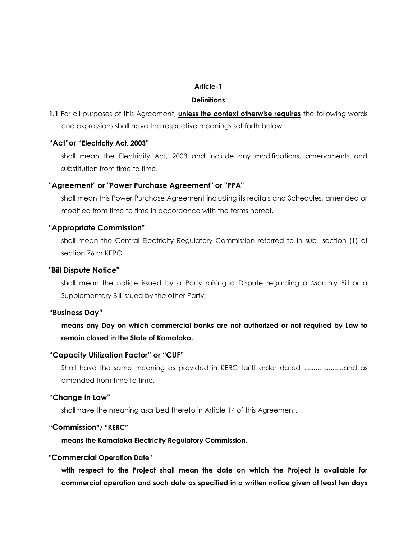#### **Article-1**

#### **Definitions**

**1.1** For all purposes of this Agreement, **unless the context otherwise requires** the following words and expressions shall have the respective meanings set forth below:

## **"Act"or "Electricity Act, 2003"**

shall mean the Electricity Act, 2003 and include any modifications, amendments and substitution from time to time.

#### **"Agreement" or "Power Purchase Agreement" or "PPA"**

shall mean this Power Purchase Agreement including its recitals and Schedules, amended or modified from time to time in accordance with the terms hereof.

## **"Appropriate Commission"**

shall mean the Central Electricity Regulatory Commission referred to in sub- section (1) of section 76 or KERC.

#### **"Bill Dispute Notice"**

shall mean the notice issued by a Party raising a Dispute regarding a Monthly Bill or a Supplementary Bill issued by the other Party;

#### **"Business Day"**

**means any Day on which commercial banks are not authorized or not required by Law to remain closed in the State of Karnataka.**

#### **"Capacity Utilization Factor" or "CUF"**

Shall have the same meaning as provided in KERC tariff order dated .....................and as amended from time to time.

## **"Change in Law"**

shall have the meaning ascribed thereto in Article 14 of this Agreement.

#### **"Commission"/ "KERC"**

**means the Karnataka Electricity Regulatory Commission.**

## **"Commercial Operation Date"**

**with respect to the Project shall mean the date on which the Project is available for commercial operation and such date as specified in a written notice given at least ten days**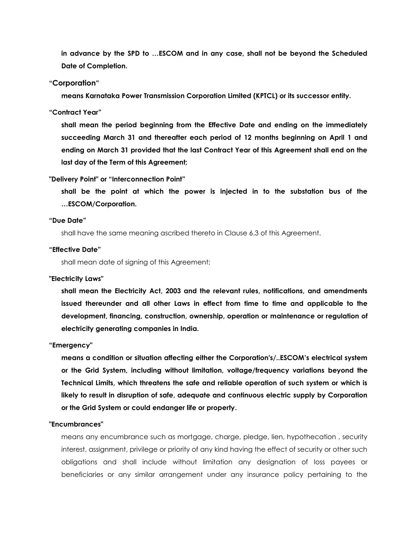**in advance by the SPD to …ESCOM and in any case, shall not be beyond the Scheduled Date of Completion.**

## **"Corporation"**

**means Karnataka Power Transmission Corporation Limited (KPTCL) or its successor entity.**

#### **"Contract Year"**

**shall mean the period beginning from the Effective Date and ending on the immediately succeeding March 31 and thereafter each period of 12 months beginning on April 1 and ending on March 31 provided that the last Contract Year of this Agreement shall end on the last day of the Term of this Agreement;** 

## **"Delivery Point" or "Interconnection Point"**

**shall be the point at which the power is injected in to the substation bus of the …ESCOM/Corporation.**

## **"Due Date"**

shall have the same meaning ascribed thereto in Clause 6.3 of this Agreement.

#### **"Effective Date"**

shall mean date of signing of this Agreement;

#### **"Electricity Laws"**

**shall mean the Electricity Act, 2003 and the relevant rules, notifications, and amendments issued thereunder and all other Laws in effect from time to time and applicable to the development, financing, construction, ownership, operation or maintenance or regulation of electricity generating companies in India.**

#### **"Emergency"**

**means a condition or situation affecting either the Corporation's/..ESCOM's electrical system or the Grid System, including without limitation, voltage/frequency variations beyond the Technical Limits, which threatens the safe and reliable operation of such system or which is likely to result in disruption of safe, adequate and continuous electric supply by Corporation or the Grid System or could endanger life or property.**

#### **"Encumbrances"**

means any encumbrance such as mortgage, charge, pledge, lien, hypothecation , security interest, assignment, privilege or priority of any kind having the effect of security or other such obligations and shall include without limitation any designation of loss payees or beneficiaries or any similar arrangement under any insurance policy pertaining to the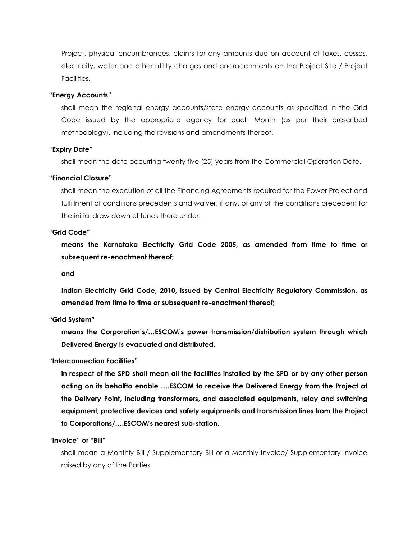Project, physical encumbrances, claims for any amounts due on account of taxes, cesses, electricity, water and other utility charges and encroachments on the Project Site / Project Facilities.

#### **"Energy Accounts"**

shall mean the regional energy accounts/state energy accounts as specified in the Grid Code issued by the appropriate agency for each Month (as per their prescribed methodology), including the revisions and amendments thereof.

#### **"Expiry Date"**

shall mean the date occurring twenty five (25) years from the Commercial Operation Date.

#### **"Financial Closure"**

shall mean the execution of all the Financing Agreements required for the Power Project and fulfillment of conditions precedents and waiver, if any, of any of the conditions precedent for the initial draw down of funds there under.

#### **"Grid Code"**

**means the Karnataka Electricity Grid Code 2005, as amended from time to time or subsequent re-enactment thereof;** 

**and**

**Indian Electricity Grid Code, 2010, issued by Central Electricity Regulatory Commission, as amended from time to time or subsequent re-enactment thereof;**

#### **"Grid System"**

**means the Corporation's/…ESCOM's power transmission/distribution system through which Delivered Energy is evacuated and distributed.**

#### **"Interconnection Facilities"**

**in respect of the SPD shall mean all the facilities installed by the SPD or by any other person acting on its behalfto enable ….ESCOM to receive the Delivered Energy from the Project at the Delivery Point, including transformers, and associated equipments, relay and switching equipment, protective devices and safety equipments and transmission lines from the Project to Corporations/….ESCOM's nearest sub-station.**

#### **"Invoice" or "Bill"**

shall mean a Monthly Bill / Supplementary Bill or a Monthly Invoice/ Supplementary Invoice raised by any of the Parties.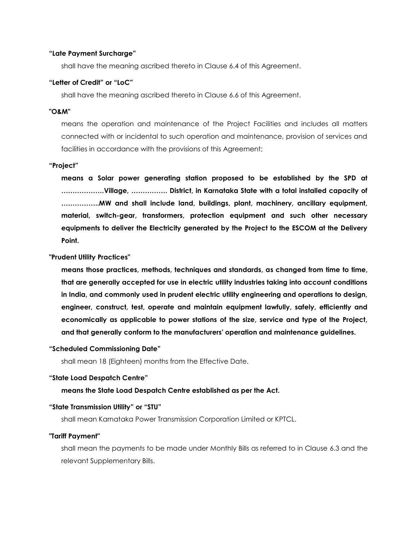#### **"Late Payment Surcharge"**

shall have the meaning ascribed thereto in Clause 6.4 of this Agreement.

## **"Letter of Credit" or "LoC"**

shall have the meaning ascribed thereto in Clause 6.6 of this Agreement.

#### **"O&M"**

means the operation and maintenance of the Project Facilities and includes all matters connected with or incidental to such operation and maintenance, provision of services and facilities in accordance with the provisions of this Agreement;

#### **"Project"**

**means a Solar power generating station proposed to be established by the SPD at ……………….Village, ……………. District, in Karnataka State with a total installed capacity of ……………..MW and shall include land, buildings, plant, machinery, ancillary equipment, material, switch-gear, transformers, protection equipment and such other necessary equipments to deliver the Electricity generated by the Project to the ESCOM at the Delivery Point.**

#### **"Prudent Utility Practices"**

**means those practices, methods, techniques and standards, as changed from time to time, that are generally accepted for use in electric utility industries taking into account conditions in India, and commonly used in prudent electric utility engineering and operations to design, engineer, construct, test, operate and maintain equipment lawfully, safely, efficiently and economically as applicable to power stations of the size, service and type of the Project, and that generally conform to the manufacturers' operation and maintenance guidelines.**

#### **"Scheduled Commissioning Date"**

shall mean 18 (Eighteen) months from the Effective Date.

## **"State Load Despatch Centre"**

## **means the State Load Despatch Centre established as per the Act.**

#### **"State Transmission Utility" or "STU"**

shall mean Karnataka Power Transmission Corporation Limited or KPTCL.

#### **"Tariff Payment"**

shall mean the payments to be made under Monthly Bills as referred to in Clause 6.3 and the relevant Supplementary Bills.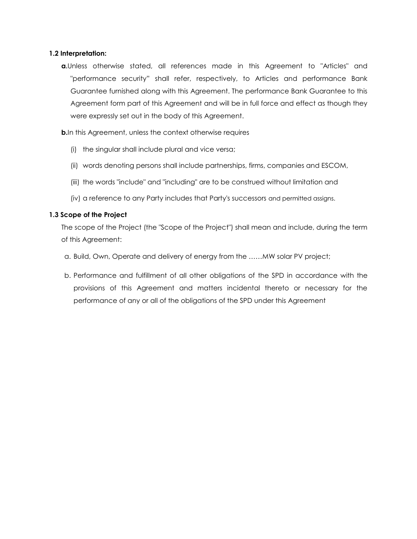## **1.2 Interpretation:**

**a.**Unless otherwise stated, all references made in this Agreement to "Articles" and "performance security" shall refer, respectively, to Articles and performance Bank Guarantee furnished along with this Agreement. The performance Bank Guarantee to this Agreement form part of this Agreement and will be in full force and effect as though they were expressly set out in the body of this Agreement.

**b.**In this Agreement, unless the context otherwise requires

- (i) the singular shall include plural and vice versa;
- (ii) words denoting persons shall include partnerships, firms, companies and ESCOM,
- (iii) the words "include" and "including" are to be construed without limitation and
- (iv) a reference to any Party includes that Party's successors and permitted assigns.

## **1.3 Scope of the Project**

The scope of the Project (the "Scope of the Project") shall mean and include, during the term of this Agreement:

- a. Build, Own, Operate and delivery of energy from the ……MW solar PV project;
- b. Performance and fulfillment of all other obligations of the SPD in accordance with the provisions of this Agreement and matters incidental thereto or necessary for the performance of any or all of the obligations of the SPD under this Agreement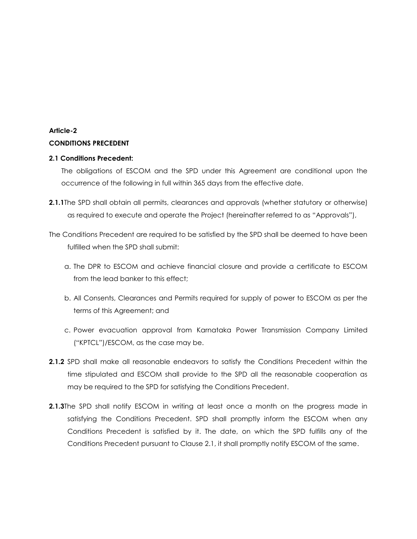# **Article-2 CONDITIONS PRECEDENT**

## **2.1 Conditions Precedent:**

The obligations of ESCOM and the SPD under this Agreement are conditional upon the occurrence of the following in full within 365 days from the effective date.

- **2.1.1**The SPD shall obtain all permits, clearances and approvals (whether statutory or otherwise) as required to execute and operate the Project (hereinafter referred to as "Approvals"),
- The Conditions Precedent are required to be satisfied by the SPD shall be deemed to have been fulfilled when the SPD shall submit:
	- a. The DPR to ESCOM and achieve financial closure and provide a certificate to ESCOM from the lead banker to this effect;
	- b. All Consents, Clearances and Permits required for supply of power to ESCOM as per the terms of this Agreement; and
	- c. Power evacuation approval from Karnataka Power Transmission Company Limited ("KPTCL")/ESCOM, as the case may be.
- **2.1.2** SPD shall make all reasonable endeavors to satisfy the Conditions Precedent within the time stipulated and ESCOM shall provide to the SPD all the reasonable cooperation as may be required to the SPD for satisfying the Conditions Precedent.
- **2.1.3**The SPD shall notify ESCOM in writing at least once a month on the progress made in satisfying the Conditions Precedent. SPD shall promptly inform the ESCOM when any Conditions Precedent is satisfied by it. The date, on which the SPD fulfills any of the Conditions Precedent pursuant to Clause 2.1, it shall promptly notify ESCOM of the same.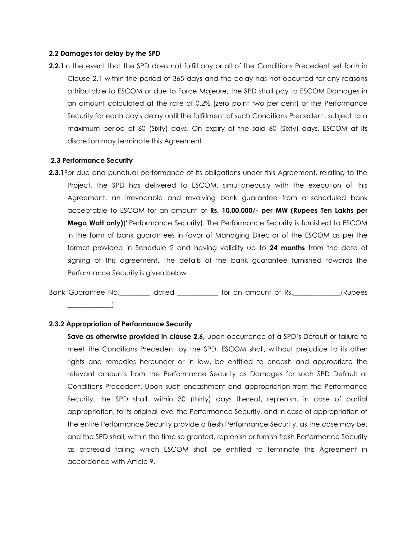#### **2.2 Damages for delay by the SPD**

**2.2.1**In the event that the SPD does not fulfill any or all of the Conditions Precedent set forth in Clause 2.1 within the period of 365 days and the delay has not occurred for any reasons attributable to ESCOM or due to Force Majeure, the SPD shall pay to ESCOM Damages in an amount calculated at the rate of 0.2% (zero point two per cent) of the Performance Security for each day's delay until the fulfillment of such Conditions Precedent, subject to a maximum period of 60 (Sixty) days. On expiry of the said 60 (Sixty) days, ESCOM at its discretion may terminate this Agreement

#### **2.3 Performance Security**

**2.3.1** For due and punctual performance of its obligations under this Agreement, relating to the Project, the SPD has delivered to ESCOM, simultaneously with the execution of this Agreement, an irrevocable and revolving bank guarantee from a scheduled bank acceptable to ESCOM for an amount of **Rs. 10,00,000/- per MW (Rupees Ten Lakhs per Mega Watt only)**("Performance Security). The Performance Security is furnished to ESCOM in the form of bank guarantees in favor of Managing Director of the ESCOM as per the format provided in Schedule 2 and having validity up to **24 months** from the date of signing of this agreement. The details of the bank guarantee furnished towards the Performance Security is given below

Bank Guarantee No. \_\_\_\_\_\_\_\_\_ dated \_\_\_\_\_\_\_\_\_\_\_ for an amount of Rs. \_\_\_\_\_\_\_\_\_\_\_\_(Rupees  $\overline{\phantom{a}}$ 

#### **2.3.2 Appropriation of Performance Security**

Save as otherwise provided in clause 2.6, upon occurrence of a SPD's Default or failure to meet the Conditions Precedent by the SPD, ESCOM shall, without prejudice to its other rights and remedies hereunder or in law, be entitled to encash and appropriate the relevant amounts from the Performance Security as Damages for such SPD Default or Conditions Precedent. Upon such encashment and appropriation from the Performance Security, the SPD shall, within 30 (thirty) days thereof, replenish, in case of partial appropriation, to its original level the Performance Security, and in case of appropriation of the entire Performance Security provide a fresh Performance Security, as the case may be, and the SPD shall, within the time so granted, replenish or furnish fresh Performance Security as aforesaid failing which ESCOM shall be entitled to terminate this Agreement in accordance with Article 9.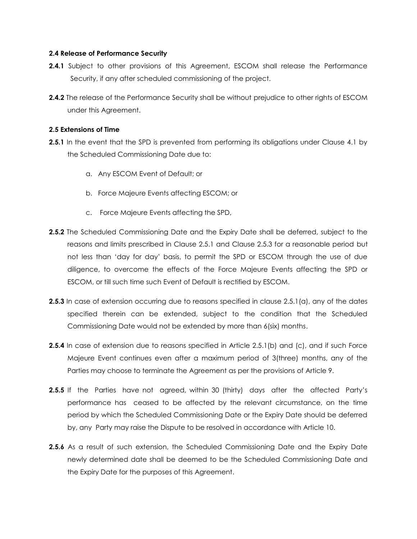## **2.4 Release of Performance Security**

- **2.4.1** Subject to other provisions of this Agreement, ESCOM shall release the Performance Security, if any after scheduled commissioning of the project.
- **2.4.2** The release of the Performance Security shall be without prejudice to other rights of ESCOM under this Agreement.

## **2.5 Extensions of Time**

- **2.5.1** In the event that the SPD is prevented from performing its obligations under Clause 4.1 by the Scheduled Commissioning Date due to:
	- a. Any ESCOM Event of Default; or
	- b. Force Majeure Events affecting ESCOM; or
	- c. Force Majeure Events affecting the SPD,
- **2.5.2** The Scheduled Commissioning Date and the Expiry Date shall be deferred, subject to the reasons and limits prescribed in Clause 2.5.1 and Clause 2.5.3 for a reasonable period but not less than 'day for day' basis, to permit the SPD or ESCOM through the use of due diligence, to overcome the effects of the Force Majeure Events affecting the SPD or ESCOM, or till such time such Event of Default is rectified by ESCOM.
- **2.5.3** In case of extension occurring due to reasons specified in clause 2.5.1(a), any of the dates specified therein can be extended, subject to the condition that the Scheduled Commissioning Date would not be extended by more than 6(six) months.
- **2.5.4** In case of extension due to reasons specified in Article 2.5.1(b) and (c), and if such Force Majeure Event continues even after a maximum period of 3(three) months, any of the Parties may choose to terminate the Agreement as per the provisions of Article 9.
- **2.5.5** If the Parties have not agreed, within 30 (thirty) days after the affected Party's performance has ceased to be affected by the relevant circumstance, on the time period by which the Scheduled Commissioning Date or the Expiry Date should be deferred by, any Party may raise the Dispute to be resolved in accordance with Article 10.
- **2.5.6** As a result of such extension, the Scheduled Commissioning Date and the Expiry Date newly determined date shall be deemed to be the Scheduled Commissioning Date and the Expiry Date for the purposes of this Agreement.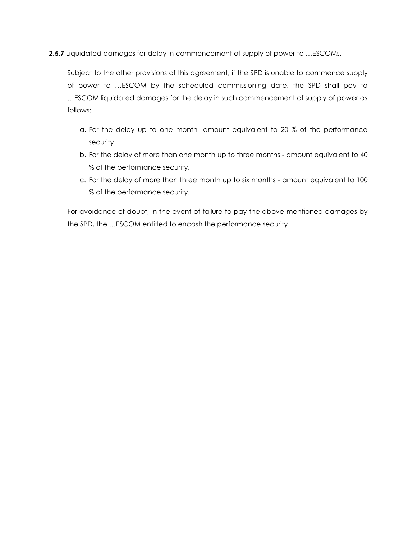**2.5.7** Liquidated damages for delay in commencement of supply of power to …ESCOMs.

Subject to the other provisions of this agreement, if the SPD is unable to commence supply of power to …ESCOM by the scheduled commissioning date, the SPD shall pay to …ESCOM liquidated damages for the delay in such commencement of supply of power as follows:

- a. For the delay up to one month- amount equivalent to 20 % of the performance security.
- b. For the delay of more than one month up to three months amount equivalent to 40 % of the performance security.
- c. For the delay of more than three month up to six months amount equivalent to 100 % of the performance security.

For avoidance of doubt, in the event of failure to pay the above mentioned damages by the SPD, the …ESCOM entitled to encash the performance security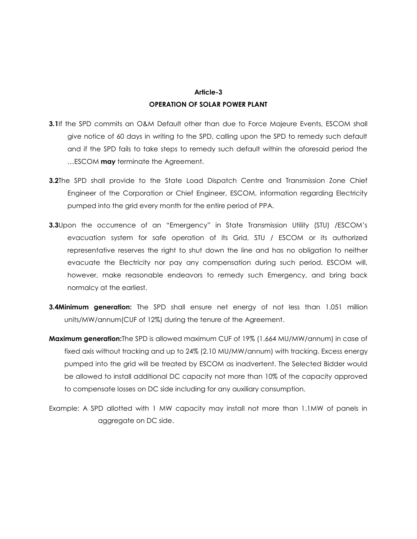# **Article-3 OPERATION OF SOLAR POWER PLANT**

- **3.1**If the SPD commits an O&M Default other than due to Force Majeure Events, ESCOM shall give notice of 60 days in writing to the SPD, calling upon the SPD to remedy such default and if the SPD fails to take steps to remedy such default within the aforesaid period the …ESCOM **may** terminate the Agreement.
- **3.2**The SPD shall provide to the State Load Dispatch Centre and Transmission Zone Chief Engineer of the Corporation or Chief Engineer, ESCOM, information regarding Electricity pumped into the grid every month for the entire period of PPA.
- **3.3**Upon the occurrence of an "Emergency" in State Transmission Utility (STU) /ESCOM's evacuation system for safe operation of its Grid, STU / ESCOM or its authorized representative reserves the right to shut down the line and has no obligation to neither evacuate the Electricity nor pay any compensation during such period. ESCOM will, however, make reasonable endeavors to remedy such Emergency, and bring back normalcy at the earliest.
- **3.4Minimum generation:** The SPD shall ensure net energy of not less than 1.051 million units/MW/annum(CUF of 12%) during the tenure of the Agreement.
- **Maximum generation:**The SPD is allowed maximum CUF of 19% (1.664 MU/MW/annum) in case of fixed axis without tracking and up to 24% (2.10 MU/MW/annum) with tracking. Excess energy pumped into the grid will be treated by ESCOM as inadvertent. The Selected Bidder would be allowed to install additional DC capacity not more than 10% of the capacity approved to compensate losses on DC side including for any auxiliary consumption.
- Example: A SPD allotted with 1 MW capacity may install not more than 1.1MW of panels in aggregate on DC side.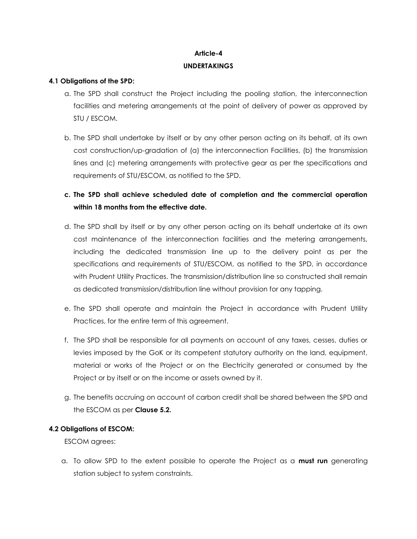# **Article-4 UNDERTAKINGS**

## **4.1 Obligations of the SPD:**

- a. The SPD shall construct the Project including the pooling station, the interconnection facilities and metering arrangements at the point of delivery of power as approved by STU / ESCOM.
- b. The SPD shall undertake by itself or by any other person acting on its behalf, at its own cost construction/up-gradation of (a) the interconnection Facilities, (b) the transmission lines and (c) metering arrangements with protective gear as per the specifications and requirements of STU/ESCOM, as notified to the SPD.
- **c. The SPD shall achieve scheduled date of completion and the commercial operation within 18 months from the effective date.**
- d. The SPD shall by itself or by any other person acting on its behalf undertake at its own cost maintenance of the interconnection facilities and the metering arrangements, including the dedicated transmission line up to the delivery point as per the specifications and requirements of STU/ESCOM, as notified to the SPD, in accordance with Prudent Utility Practices. The transmission/distribution line so constructed shall remain as dedicated transmission/distribution line without provision for any tapping.
- e. The SPD shall operate and maintain the Project in accordance with Prudent Utility Practices, for the entire term of this agreement.
- f. The SPD shall be responsible for all payments on account of any taxes, cesses, duties or levies imposed by the GoK or its competent statutory authority on the land, equipment, material or works of the Project or on the Electricity generated or consumed by the Project or by itself or on the income or assets owned by it.
- g. The benefits accruing on account of carbon credit shall be shared between the SPD and the ESCOM as per **Clause 5.2.**

## **4.2 Obligations of ESCOM:**

ESCOM agrees:

a. To allow SPD to the extent possible to operate the Project as a **must run** generating station subject to system constraints.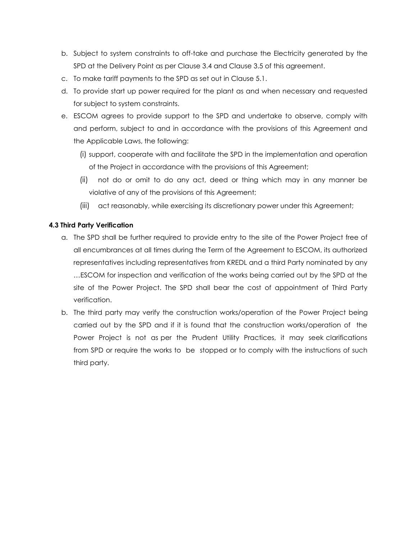- b. Subject to system constraints to off-take and purchase the Electricity generated by the SPD at the Delivery Point as per Clause 3.4 and Clause 3.5 of this agreement.
- c. To make tariff payments to the SPD as set out in Clause 5.1.
- d. To provide start up power required for the plant as and when necessary and requested for subject to system constraints.
- e. ESCOM agrees to provide support to the SPD and undertake to observe, comply with and perform, subject to and in accordance with the provisions of this Agreement and the Applicable Laws, the following:
	- (i) support, cooperate with and facilitate the SPD in the implementation and operation of the Project in accordance with the provisions of this Agreement;
	- (ii) not do or omit to do any act, deed or thing which may in any manner be violative of any of the provisions of this Agreement;
	- (iii) act reasonably, while exercising its discretionary power under this Agreement;

## **4.3 Third Party Verification**

- a. The SPD shall be further required to provide entry to the site of the Power Project free of all encumbrances at all times during the Term of the Agreement to ESCOM, its authorized representatives including representatives from KREDL and a third Party nominated by any …ESCOM for inspection and verification of the works being carried out by the SPD at the site of the Power Project. The SPD shall bear the cost of appointment of Third Party verification.
- b. The third party may verify the construction works/operation of the Power Project being carried out by the SPD and if it is found that the construction works/operation of the Power Project is not as per the Prudent Utility Practices, it may seek clarifications from SPD or require the works to be stopped or to comply with the instructions of such third party.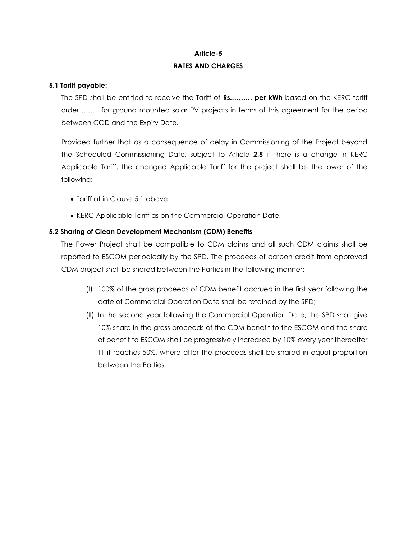# **Article-5 RATES AND CHARGES**

## **5.1 Tariff payable:**

The SPD shall be entitled to receive the Tariff of **Rs.……… per kWh** based on the KERC tariff order …….. for ground mounted solar PV projects in terms of this agreement for the period between COD and the Expiry Date.

Provided further that as a consequence of delay in Commissioning of the Project beyond the Scheduled Commissioning Date, subject to Article **2.5** if there is a change in KERC Applicable Tariff, the changed Applicable Tariff for the project shall be the lower of the following:

- Tariff at in Clause 5.1 above
- KERC Applicable Tariff as on the Commercial Operation Date.

## **5.2 Sharing of Clean Development Mechanism (CDM) Benefits**

The Power Project shall be compatible to CDM claims and all such CDM claims shall be reported to ESCOM periodically by the SPD. The proceeds of carbon credit from approved CDM project shall be shared between the Parties in the following manner:

- (i) 100% of the gross proceeds of CDM benefit accrued in the first year following the date of Commercial Operation Date shall be retained by the SPD;
- (ii) In the second year following the Commercial Operation Date, the SPD shall give 10% share in the gross proceeds of the CDM benefit to the ESCOM and the share of benefit to ESCOM shall be progressively increased by 10% every year thereafter till it reaches 50%, where after the proceeds shall be shared in equal proportion between the Parties.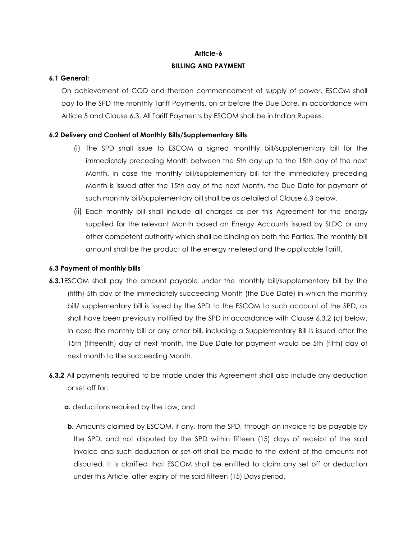## **Article-6**

## **BILLING AND PAYMENT**

## **6.1 General:**

On achievement of COD and thereon commencement of supply of power, ESCOM shall pay to the SPD the monthly Tariff Payments, on or before the Due Date, in accordance with Article 5 and Clause 6.3. All Tariff Payments by ESCOM shall be in Indian Rupees.

## **6.2 Delivery and Content of Monthly Bills/Supplementary Bills**

- (i) The SPD shall issue to ESCOM a signed monthly bill/supplementary bill for the immediately preceding Month between the 5th day up to the 15th day of the next Month. In case the monthly bill/supplementary bill for the immediately preceding Month is issued after the 15th day of the next Month, the Due Date for payment of such monthly bill/supplementary bill shall be as detailed of Clause 6.3 below.
- (ii) Each monthly bill shall include all charges as per this Agreement for the energy supplied for the relevant Month based on Energy Accounts issued by SLDC or any other competent authority which shall be binding on both the Parties. The monthly bill amount shall be the product of the energy metered and the applicable Tariff.

## **6.3 Payment of monthly bills**

- **6.3.1**ESCOM shall pay the amount payable under the monthly bill/supplementary bill by the (fifth) 5th day of the immediately succeeding Month (the Due Date) in which the monthly bill/ supplementary bill is issued by the SPD to the ESCOM to such account of the SPD, as shall have been previously notified by the SPD in accordance with Clause 6.3.2 (c) below. In case the monthly bill or any other bill, including a Supplementary Bill is issued after the 15th (fifteenth) day of next month, the Due Date for payment would be 5th (fifth) day of next month to the succeeding Month.
- **6.3.2** All payments required to be made under this Agreement shall also include any deduction or set off for:
	- **a.** deductions required by the Law; and
	- **b.** Amounts claimed by ESCOM, if any, from the SPD, through an invoice to be payable by the SPD, and not disputed by the SPD within fifteen (15) days of receipt of the said Invoice and such deduction or set-off shall be made to the extent of the amounts not disputed. It is clarified that ESCOM shall be entitled to claim any set off or deduction under this Article, after expiry of the said fifteen (15) Days period.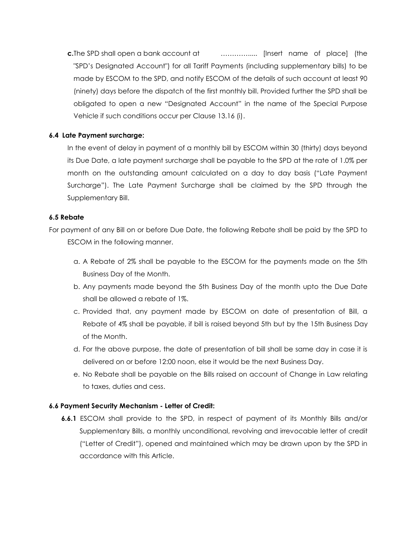**c.**The SPD shall open a bank account at …………..... [Insert name of place] (the "SPD's Designated Account") for all Tariff Payments (including supplementary bills) to be made by ESCOM to the SPD, and notify ESCOM of the details of such account at least 90 (ninety) days before the dispatch of the first monthly bill. Provided further the SPD shall be obligated to open a new "Designated Account" in the name of the Special Purpose Vehicle if such conditions occur per Clause 13.16 (i).

## **6.4 Late Payment surcharge:**

In the event of delay in payment of a monthly bill by ESCOM within 30 (thirty) days beyond its Due Date, a late payment surcharge shall be payable to the SPD at the rate of 1.0% per month on the outstanding amount calculated on a day to day basis ("Late Payment Surcharge"). The Late Payment Surcharge shall be claimed by the SPD through the Supplementary Bill.

## **6.5 Rebate**

For payment of any Bill on or before Due Date, the following Rebate shall be paid by the SPD to ESCOM in the following manner.

- a. A Rebate of 2% shall be payable to the ESCOM for the payments made on the 5th Business Day of the Month.
- b. Any payments made beyond the 5th Business Day of the month upto the Due Date shall be allowed a rebate of 1%.
- c. Provided that, any payment made by ESCOM on date of presentation of Bill, a Rebate of 4% shall be payable, if bill is raised beyond 5th but by the 15th Business Day of the Month.
- d. For the above purpose, the date of presentation of bill shall be same day in case it is delivered on or before 12:00 noon, else it would be the next Business Day.
- e. No Rebate shall be payable on the Bills raised on account of Change in Law relating to taxes, duties and cess.

## **6.6 Payment Security Mechanism - Letter of Credit:**

**6.6.1** ESCOM shall provide to the SPD, in respect of payment of its Monthly Bills and/or Supplementary Bills, a monthly unconditional, revolving and irrevocable letter of credit ("Letter of Credit"), opened and maintained which may be drawn upon by the SPD in accordance with this Article.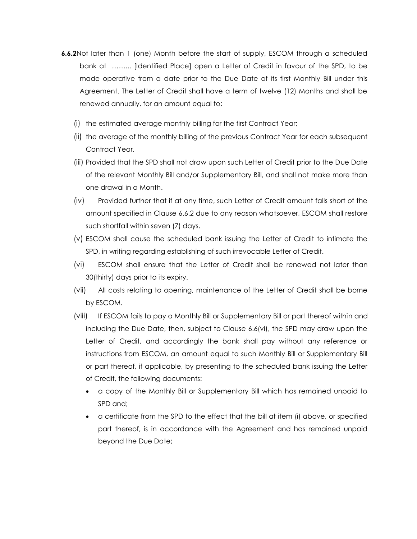- **6.6.2**Not later than 1 (one) Month before the start of supply, ESCOM through a scheduled bank at ……... [Identified Place] open a Letter of Credit in favour of the SPD, to be made operative from a date prior to the Due Date of its first Monthly Bill under this Agreement. The Letter of Credit shall have a term of twelve (12) Months and shall be renewed annually, for an amount equal to:
	- (i) the estimated average monthly billing for the first Contract Year;
	- (ii) the average of the monthly billing of the previous Contract Year for each subsequent Contract Year.
	- (iii) Provided that the SPD shall not draw upon such Letter of Credit prior to the Due Date of the relevant Monthly Bill and/or Supplementary Bill, and shall not make more than one drawal in a Month.
	- (iv) Provided further that if at any time, such Letter of Credit amount falls short of the amount specified in Clause 6.6.2 due to any reason whatsoever, ESCOM shall restore such shortfall within seven (7) days.
	- (v) ESCOM shall cause the scheduled bank issuing the Letter of Credit to intimate the SPD, in writing regarding establishing of such irrevocable Letter of Credit.
	- (vi) ESCOM shall ensure that the Letter of Credit shall be renewed not later than 30(thirty) days prior to its expiry.
	- (vii) All costs relating to opening, maintenance of the Letter of Credit shall be borne by ESCOM.
	- (viii) If ESCOM fails to pay a Monthly Bill or Supplementary Bill or part thereof within and including the Due Date, then, subject to Clause 6.6(vi), the SPD may draw upon the Letter of Credit, and accordingly the bank shall pay without any reference or instructions from ESCOM, an amount equal to such Monthly Bill or Supplementary Bill or part thereof, if applicable, by presenting to the scheduled bank issuing the Letter of Credit, the following documents:
		- a copy of the Monthly Bill or Supplementary Bill which has remained unpaid to SPD and;
		- a certificate from the SPD to the effect that the bill at item (i) above, or specified part thereof, is in accordance with the Agreement and has remained unpaid beyond the Due Date;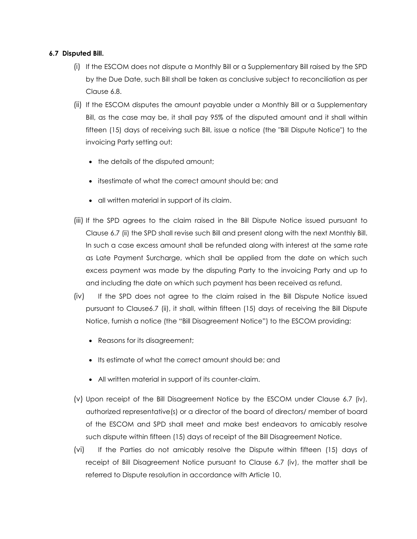## **6.7 Disputed Bill.**

- (i) If the ESCOM does not dispute a Monthly Bill or a Supplementary Bill raised by the SPD by the Due Date, such Bill shall be taken as conclusive subject to reconciliation as per Clause 6.8.
- (ii) If the ESCOM disputes the amount payable under a Monthly Bill or a Supplementary Bill, as the case may be, it shall pay 95% of the disputed amount and it shall within fifteen (15) days of receiving such Bill, issue a notice (the "Bill Dispute Notice") to the invoicing Party setting out:
	- the details of the disputed amount;
	- itsestimate of what the correct amount should be; and
	- all written material in support of its claim.
- (iii) If the SPD agrees to the claim raised in the Bill Dispute Notice issued pursuant to Clause 6.7 (ii) the SPD shall revise such Bill and present along with the next Monthly Bill. In such a case excess amount shall be refunded along with interest at the same rate as Late Payment Surcharge, which shall be applied from the date on which such excess payment was made by the disputing Party to the invoicing Party and up to and including the date on which such payment has been received as refund.
- (iv) If the SPD does not agree to the claim raised in the Bill Dispute Notice issued pursuant to Clause6.7 (ii), it shall, within fifteen (15) days of receiving the Bill Dispute Notice, furnish a notice (the "Bill Disagreement Notice") to the ESCOM providing:
	- Reasons for its disagreement;
	- Its estimate of what the correct amount should be; and
	- All written material in support of its counter-claim.
- (v) Upon receipt of the Bill Disagreement Notice by the ESCOM under Clause 6.7 (iv), authorized representative(s) or a director of the board of directors/ member of board of the ESCOM and SPD shall meet and make best endeavors to amicably resolve such dispute within fifteen (15) days of receipt of the Bill Disagreement Notice.
- (vi) If the Parties do not amicably resolve the Dispute within fifteen (15) days of receipt of Bill Disagreement Notice pursuant to Clause 6.7 (iv), the matter shall be referred to Dispute resolution in accordance with Article 10.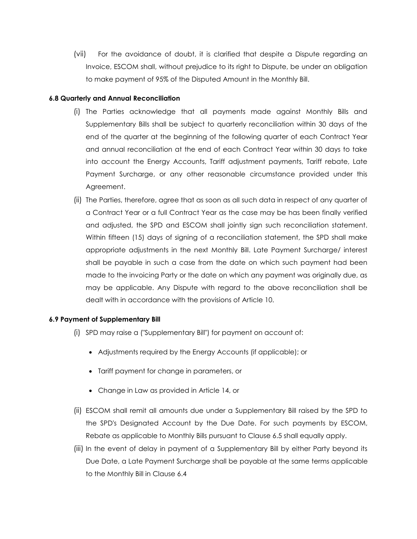(vii) For the avoidance of doubt, it is clarified that despite a Dispute regarding an Invoice, ESCOM shall, without prejudice to its right to Dispute, be under an obligation to make payment of 95% of the Disputed Amount in the Monthly Bill.

## **6.8 Quarterly and Annual Reconciliation**

- (i) The Parties acknowledge that all payments made against Monthly Bills and Supplementary Bills shall be subject to quarterly reconciliation within 30 days of the end of the quarter at the beginning of the following quarter of each Contract Year and annual reconciliation at the end of each Contract Year within 30 days to take into account the Energy Accounts, Tariff adjustment payments, Tariff rebate, Late Payment Surcharge, or any other reasonable circumstance provided under this Agreement.
- (ii) The Parties, therefore, agree that as soon as all such data in respect of any quarter of a Contract Year or a full Contract Year as the case may be has been finally verified and adjusted, the SPD and ESCOM shall jointly sign such reconciliation statement. Within fifteen (15) days of signing of a reconciliation statement, the SPD shall make appropriate adjustments in the next Monthly Bill. Late Payment Surcharge/ interest shall be payable in such a case from the date on which such payment had been made to the invoicing Party or the date on which any payment was originally due, as may be applicable. Any Dispute with regard to the above reconciliation shall be dealt with in accordance with the provisions of Article 10.

## **6.9 Payment of Supplementary Bill**

- (i) SPD may raise a ("Supplementary Bill") for payment on account of:
	- Adjustments required by the Energy Accounts (if applicable); or
	- Tariff payment for change in parameters, or
	- Change in Law as provided in Article 14, or
- (ii) ESCOM shall remit all amounts due under a Supplementary Bill raised by the SPD to the SPD's Designated Account by the Due Date. For such payments by ESCOM, Rebate as applicable to Monthly Bills pursuant to Clause 6.5 shall equally apply.
- (iii) In the event of delay in payment of a Supplementary Bill by either Party beyond its Due Date, a Late Payment Surcharge shall be payable at the same terms applicable to the Monthly Bill in Clause 6.4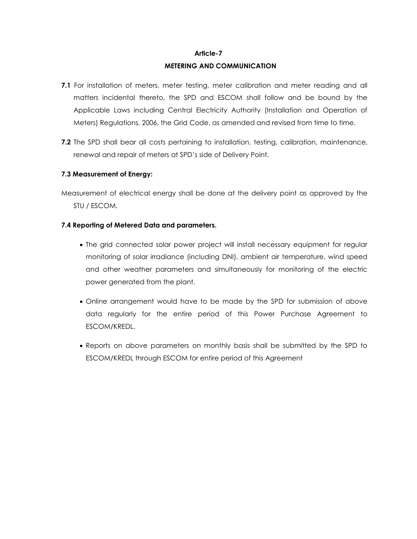## **Article-7**

## **METERING AND COMMUNICATION**

- **7.1** For installation of meters, meter testing, meter calibration and meter reading and all matters incidental thereto, the SPD and ESCOM shall follow and be bound by the Applicable Laws including Central Electricity Authority (Installation and Operation of Meters) Regulations, 2006, the Grid Code, as amended and revised from time to time.
- **7.2** The SPD shall bear all costs pertaining to installation, testing, calibration, maintenance, renewal and repair of meters at SPD's side of Delivery Point.

## **7.3 Measurement of Energy:**

Measurement of electrical energy shall be done at the delivery point as approved by the STU / ESCOM.

## **7.4 Reporting of Metered Data and parameters.**

- The grid connected solar power project will install necessary equipment for regular monitoring of solar irradiance (including DNI), ambient air temperature, wind speed and other weather parameters and simultaneously for monitoring of the electric power generated from the plant.
- Online arrangement would have to be made by the SPD for submission of above data regularly for the entire period of this Power Purchase Agreement to ESCOM/KREDL.
- Reports on above parameters on monthly basis shall be submitted by the SPD to ESCOM/KREDL through ESCOM for entire period of this Agreement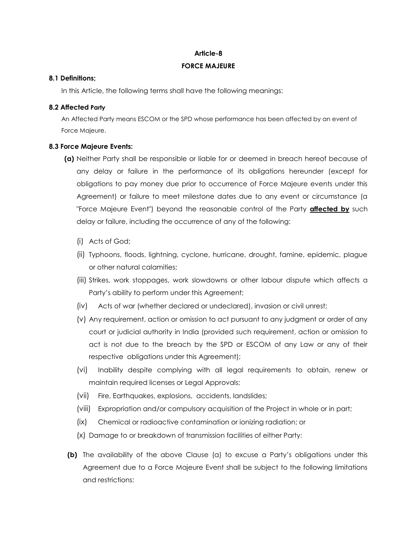#### **Article-8**

## **FORCE MAJEURE**

## **8.1 Definitions;**

In this Article, the following terms shall have the following meanings:

## **8.2 Affected Party**

An Affected Party means ESCOM or the SPD whose performance has been affected by an event of Force Majeure.

## **8.3 Force Majeure Events:**

- **(a)** Neither Party shall be responsible or liable for or deemed in breach hereof because of any delay or failure in the performance of its obligations hereunder (except for obligations to pay money due prior to occurrence of Force Majeure events under this Agreement) or failure to meet milestone dates due to any event or circumstance (a "Force Majeure Event") beyond the reasonable control of the Party **affected by** such delay or failure, including the occurrence of any of the following:
	- (i) Acts of God;
	- (ii) Typhoons, floods, lightning, cyclone, hurricane, drought, famine, epidemic, plague or other natural calamities;
	- (iii) Strikes, work stoppages, work slowdowns or other labour dispute which affects a Party's ability to perform under this Agreement;
	- (iv) Acts of war (whether declared or undeclared), invasion or civil unrest;
	- (v) Any requirement, action or omission to act pursuant to any judgment or order of any court or judicial authority in India (provided such requirement, action or omission to act is not due to the breach by the SPD or ESCOM of any Law or any of their respective obligations under this Agreement);
	- (vi) Inability despite complying with all legal requirements to obtain, renew or maintain required licenses or Legal Approvals;
	- (vii) Fire, Earthquakes, explosions, accidents, landslides;
	- (viii) Expropriation and/or compulsory acquisition of the Project in whole or in part;
	- (ix) Chemical or radioactive contamination or ionizing radiation; or
	- (x) Damage to or breakdown of transmission facilities of either Party;
- **(b)** The availability of the above Clause (a) to excuse a Party's obligations under this Agreement due to a Force Majeure Event shall be subject to the following limitations and restrictions: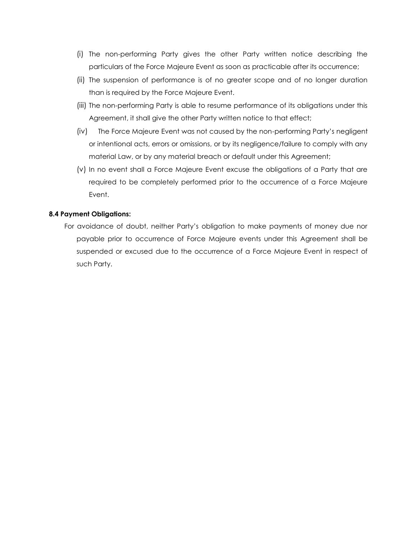- (i) The non-performing Party gives the other Party written notice describing the particulars of the Force Majeure Event as soon as practicable after its occurrence;
- (ii) The suspension of performance is of no greater scope and of no longer duration than is required by the Force Majeure Event.
- (iii) The non-performing Party is able to resume performance of its obligations under this Agreement, it shall give the other Party written notice to that effect;
- (iv) The Force Majeure Event was not caused by the non-performing Party's negligent or intentional acts, errors or omissions, or by its negligence/failure to comply with any material Law, or by any material breach or default under this Agreement;
- (v) In no event shall a Force Majeure Event excuse the obligations of a Party that are required to be completely performed prior to the occurrence of a Force Majeure Event.

## **8.4 Payment Obligations:**

For avoidance of doubt, neither Party's obligation to make payments of money due nor payable prior to occurrence of Force Majeure events under this Agreement shall be suspended or excused due to the occurrence of a Force Majeure Event in respect of such Party.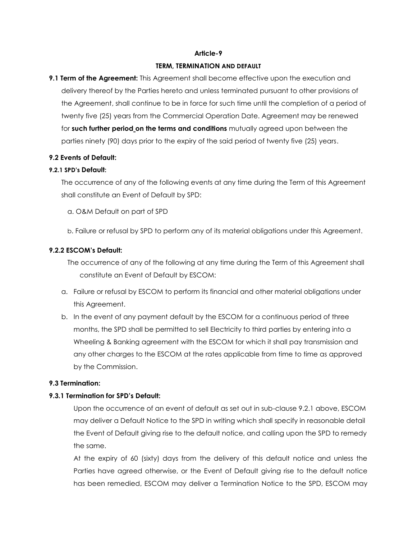#### **Article-9**

#### **TERM, TERMINATION AND DEFAULT**

**9.1 Term of the Agreement:** This Agreement shall become effective upon the execution and delivery thereof by the Parties hereto and unless terminated pursuant to other provisions of the Agreement, shall continue to be in force for such time until the completion of a period of twenty five (25) years from the Commercial Operation Date. Agreement may be renewed for **such further period on the terms and conditions** mutually agreed upon between the parties ninety (90) days prior to the expiry of the said period of twenty five (25) years.

## **9.2 Events of Default:**

#### **9.2.1 SPD's Default:**

The occurrence of any of the following events at any time during the Term of this Agreement shall constitute an Event of Default by SPD:

- a. O&M Default on part of SPD
- b. Failure or refusal by SPD to perform any of its material obligations under this Agreement.

## **9.2.2 ESCOM's Default:**

The occurrence of any of the following at any time during the Term of this Agreement shall constitute an Event of Default by ESCOM:

- a. Failure or refusal by ESCOM to perform its financial and other material obligations under this Agreement.
- b. In the event of any payment default by the ESCOM for a continuous period of three months, the SPD shall be permitted to sell Electricity to third parties by entering into a Wheeling & Banking agreement with the ESCOM for which it shall pay transmission and any other charges to the ESCOM at the rates applicable from time to time as approved by the Commission.

## **9.3 Termination:**

#### **9.3.1 Termination for SPD's Default:**

Upon the occurrence of an event of default as set out in sub-clause 9.2.1 above, ESCOM may deliver a Default Notice to the SPD in writing which shall specify in reasonable detail the Event of Default giving rise to the default notice, and calling upon the SPD to remedy the same.

At the expiry of 60 (sixty) days from the delivery of this default notice and unless the Parties have agreed otherwise, or the Event of Default giving rise to the default notice has been remedied, ESCOM may deliver a Termination Notice to the SPD, ESCOM may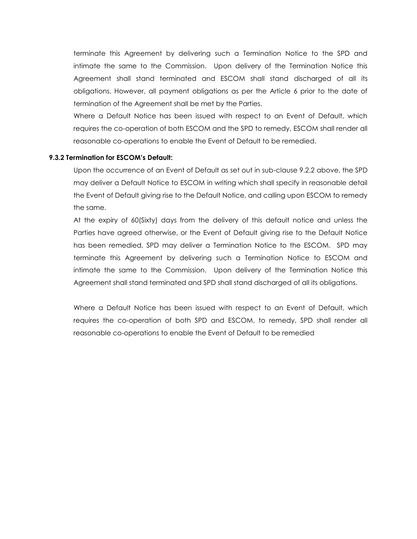terminate this Agreement by delivering such a Termination Notice to the SPD and intimate the same to the Commission. Upon delivery of the Termination Notice this Agreement shall stand terminated and ESCOM shall stand discharged of all its obligations. However, all payment obligations as per the Article 6 prior to the date of termination of the Agreement shall be met by the Parties.

Where a Default Notice has been issued with respect to an Event of Default, which requires the co-operation of both ESCOM and the SPD to remedy, ESCOM shall render all reasonable co-operations to enable the Event of Default to be remedied.

## **9.3.2 Termination for ESCOM's Default:**

Upon the occurrence of an Event of Default as set out in sub-clause 9.2.2 above, the SPD may deliver a Default Notice to ESCOM in writing which shall specify in reasonable detail the Event of Default giving rise to the Default Notice, and calling upon ESCOM to remedy the same.

At the expiry of 60(Sixty) days from the delivery of this default notice and unless the Parties have agreed otherwise, or the Event of Default giving rise to the Default Notice has been remedied, SPD may deliver a Termination Notice to the ESCOM. SPD may terminate this Agreement by delivering such a Termination Notice to ESCOM and intimate the same to the Commission. Upon delivery of the Termination Notice this Agreement shall stand terminated and SPD shall stand discharged of all its obligations.

Where a Default Notice has been issued with respect to an Event of Default, which requires the co-operation of both SPD and ESCOM, to remedy, SPD shall render all reasonable co-operations to enable the Event of Default to be remedied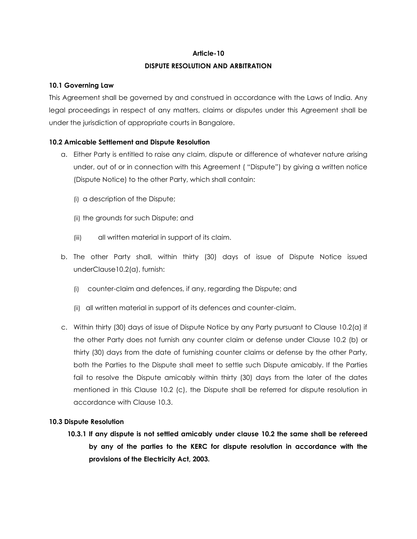## **Article-10**

## **DISPUTE RESOLUTION AND ARBITRATION**

## **10.1 Governing Law**

This Agreement shall be governed by and construed in accordance with the Laws of India. Any legal proceedings in respect of any matters, claims or disputes under this Agreement shall be under the jurisdiction of appropriate courts in Bangalore.

## **10.2 Amicable Settlement and Dispute Resolution**

- a. Either Party is entitled to raise any claim, dispute or difference of whatever nature arising under, out of or in connection with this Agreement ( "Dispute") by giving a written notice (Dispute Notice) to the other Party, which shall contain:
	- (i) a description of the Dispute;
	- (ii) the grounds for such Dispute; and
	- (iii) all written material in support of its claim.
- b. The other Party shall, within thirty (30) days of issue of Dispute Notice issued underClause10.2(a), furnish:
	- (i) counter-claim and defences, if any, regarding the Dispute; and
	- (ii) all written material in support of its defences and counter-claim.
- c. Within thirty (30) days of issue of Dispute Notice by any Party pursuant to Clause 10.2(a) if the other Party does not furnish any counter claim or defense under Clause 10.2 (b) or thirty (30) days from the date of furnishing counter claims or defense by the other Party, both the Parties to the Dispute shall meet to settle such Dispute amicably. If the Parties fail to resolve the Dispute amicably within thirty (30) days from the later of the dates mentioned in this Clause 10.2 (c), the Dispute shall be referred for dispute resolution in accordance with Clause 10.3.

## **10.3 Dispute Resolution**

**10.3.1 If any dispute is not settled amicably under clause 10.2 the same shall be refereed by any of the parties to the KERC for dispute resolution in accordance with the provisions of the Electricity Act, 2003.**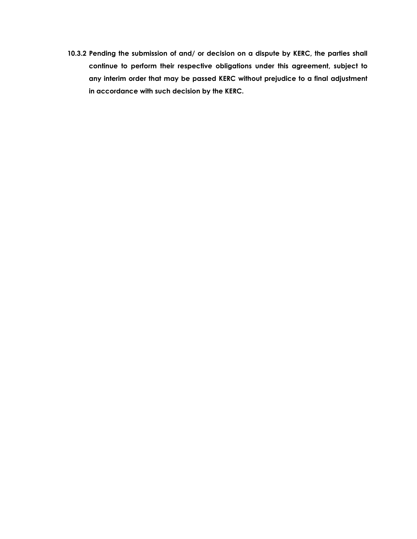**10.3.2 Pending the submission of and/ or decision on a dispute by KERC, the parties shall continue to perform their respective obligations under this agreement, subject to any interim order that may be passed KERC without prejudice to a final adjustment in accordance with such decision by the KERC.**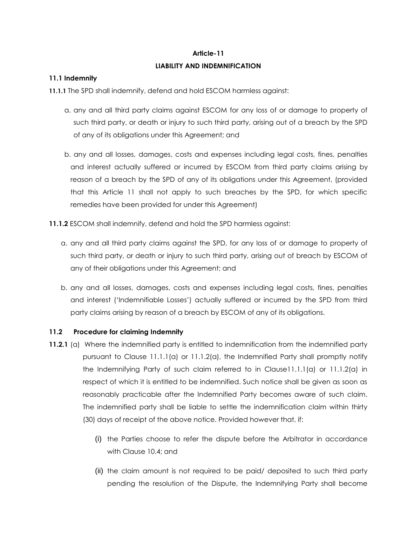# **Article-11 LIABILITY AND INDEMNIFICATION**

## **11.1 Indemnity**

**11.1.1** The SPD shall indemnify, defend and hold ESCOM harmless against:

- a. any and all third party claims against ESCOM for any loss of or damage to property of such third party, or death or injury to such third party, arising out of a breach by the SPD of any of its obligations under this Agreement; and
- b. any and all losses, damages, costs and expenses including legal costs, fines, penalties and interest actually suffered or incurred by ESCOM from third party claims arising by reason of a breach by the SPD of any of its obligations under this Agreement, (provided that this Article 11 shall not apply to such breaches by the SPD, for which specific remedies have been provided for under this Agreement)
- **11.1.2** ESCOM shall indemnify, defend and hold the SPD harmless against:
	- a. any and all third party claims against the SPD, for any loss of or damage to property of such third party, or death or injury to such third party, arising out of breach by ESCOM of any of their obligations under this Agreement; and
	- b. any and all losses, damages, costs and expenses including legal costs, fines, penalties and interest ('Indemnifiable Losses') actually suffered or incurred by the SPD from third party claims arising by reason of a breach by ESCOM of any of its obligations.

## **11.2 Procedure for claiming Indemnity**

- **11.2.1** (a) Where the indemnified party is entitled to indemnification from the indemnified party pursuant to Clause  $11.1.1(a)$  or  $11.1.2(a)$ , the Indemnified Party shall promptly notify the Indemnifying Party of such claim referred to in Clause11.1.1(a) or 11.1.2(a) in respect of which it is entitled to be indemnified. Such notice shall be given as soon as reasonably practicable after the Indemnified Party becomes aware of such claim. The indemnified party shall be liable to settle the indemnification claim within thirty (30) days of receipt of the above notice. Provided however that, if:
	- (i) the Parties choose to refer the dispute before the Arbitrator in accordance with Clause 10.4; and
	- (ii) the claim amount is not required to be paid/ deposited to such third party pending the resolution of the Dispute, the Indemnifying Party shall become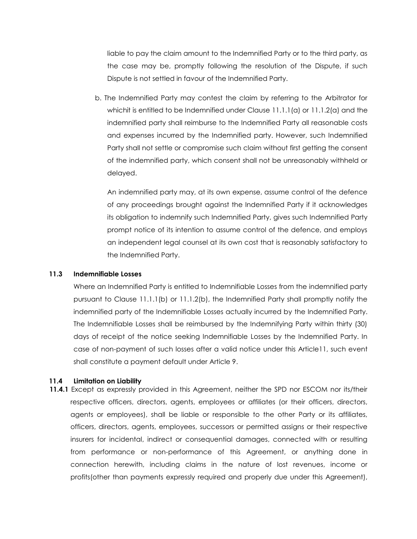liable to pay the claim amount to the Indemnified Party or to the third party, as the case may be, promptly following the resolution of the Dispute, if such Dispute is not settled in favour of the Indemnified Party.

b. The Indemnified Party may contest the claim by referring to the Arbitrator for whichit is entitled to be Indemnified under Clause  $11.1.1(a)$  or  $11.1.2(a)$  and the indemnified party shall reimburse to the Indemnified Party all reasonable costs and expenses incurred by the Indemnified party. However, such Indemnified Party shall not settle or compromise such claim without first getting the consent of the indemnified party, which consent shall not be unreasonably withheld or delayed.

An indemnified party may, at its own expense, assume control of the defence of any proceedings brought against the Indemnified Party if it acknowledges its obligation to indemnify such Indemnified Party, gives such Indemnified Party prompt notice of its intention to assume control of the defence, and employs an independent legal counsel at its own cost that is reasonably satisfactory to the Indemnified Party.

#### **11.3 Indemnifiable Losses**

Where an Indemnified Party is entitled to Indemnifiable Losses from the indemnified party pursuant to Clause 11.1.1(b) or 11.1.2(b), the Indemnified Party shall promptly notify the indemnified party of the Indemnifiable Losses actually incurred by the Indemnified Party. The Indemnifiable Losses shall be reimbursed by the Indemnifying Party within thirty (30) days of receipt of the notice seeking Indemnifiable Losses by the Indemnified Party. In case of non-payment of such losses after a valid notice under this Article11, such event shall constitute a payment default under Article 9.

#### **11.4 Limitation on Liability**

**11.4.1** Except as expressly provided in this Agreement, neither the SPD nor ESCOM nor its/their respective officers, directors, agents, employees or affiliates (or their officers, directors, agents or employees), shall be liable or responsible to the other Party or its affiliates, officers, directors, agents, employees, successors or permitted assigns or their respective insurers for incidental, indirect or consequential damages, connected with or resulting from performance or non-performance of this Agreement, or anything done in connection herewith, including claims in the nature of lost revenues, income or profits(other than payments expressly required and properly due under this Agreement),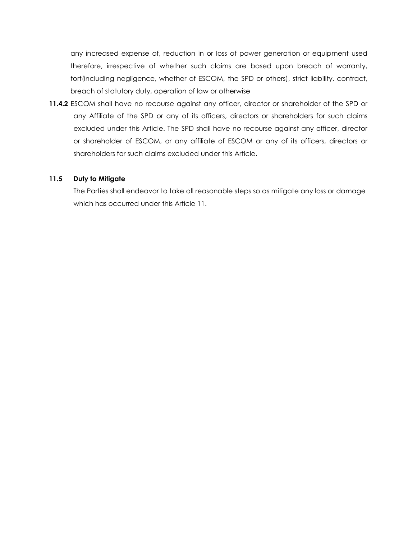any increased expense of, reduction in or loss of power generation or equipment used therefore, irrespective of whether such claims are based upon breach of warranty, tort(including negligence, whether of ESCOM, the SPD or others), strict liability, contract, breach of statutory duty, operation of law or otherwise

**11.4.2** ESCOM shall have no recourse against any officer, director or shareholder of the SPD or any Affiliate of the SPD or any of its officers, directors or shareholders for such claims excluded under this Article. The SPD shall have no recourse against any officer, director or shareholder of ESCOM, or any affiliate of ESCOM or any of its officers, directors or shareholders for such claims excluded under this Article.

## **11.5 Duty to Mitigate**

The Parties shall endeavor to take all reasonable steps so as mitigate any loss or damage which has occurred under this Article 11.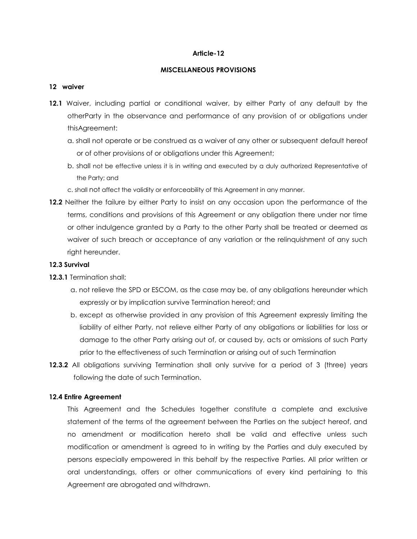#### **Article-12**

#### **MISCELLANEOUS PROVISIONS**

#### **12 waiver**

- **12.1** Waiver, including partial or conditional waiver, by either Party of any default by the otherParty in the observance and performance of any provision of or obligations under thisAgreement:
	- a. shall not operate or be construed as a waiver of any other or subsequent default hereof or of other provisions of or obligations under this Agreement;
	- b. shall not be effective unless it is in writing and executed by a duly authorized Representative of the Party; and
	- c. shall not affect the validity or enforceability of this Agreement in any manner.
- **12.2** Neither the failure by either Party to insist on any occasion upon the performance of the terms, conditions and provisions of this Agreement or any obligation there under nor time or other indulgence granted by a Party to the other Party shall be treated or deemed as waiver of such breach or acceptance of any variation or the relinquishment of any such right hereunder.

## **12.3 Survival**

- **12.3.1** Termination shall;
	- a. not relieve the SPD or ESCOM, as the case may be, of any obligations hereunder which expressly or by implication survive Termination hereof; and
	- b. except as otherwise provided in any provision of this Agreement expressly limiting the liability of either Party, not relieve either Party of any obligations or liabilities for loss or damage to the other Party arising out of, or caused by, acts or omissions of such Party prior to the effectiveness of such Termination or arising out of such Termination
- **12.3.2** All obligations surviving Termination shall only survive for a period of 3 (three) years following the date of such Termination.

## **12.4 Entire Agreement**

This Agreement and the Schedules together constitute a complete and exclusive statement of the terms of the agreement between the Parties on the subject hereof, and no amendment or modification hereto shall be valid and effective unless such modification or amendment is agreed to in writing by the Parties and duly executed by persons especially empowered in this behalf by the respective Parties. All prior written or oral understandings, offers or other communications of every kind pertaining to this Agreement are abrogated and withdrawn.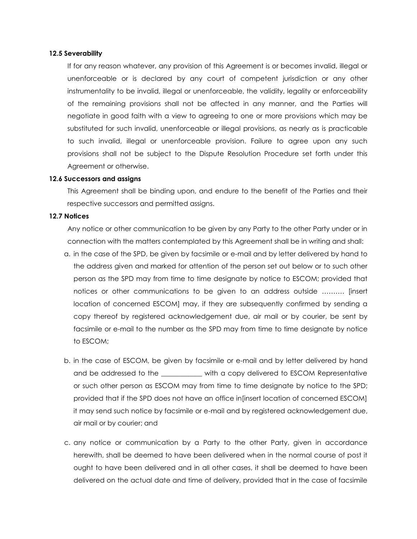#### **12.5 Severability**

If for any reason whatever, any provision of this Agreement is or becomes invalid, illegal or unenforceable or is declared by any court of competent jurisdiction or any other instrumentality to be invalid, illegal or unenforceable, the validity, legality or enforceability of the remaining provisions shall not be affected in any manner, and the Parties will negotiate in good faith with a view to agreeing to one or more provisions which may be substituted for such invalid, unenforceable or illegal provisions, as nearly as is practicable to such invalid, illegal or unenforceable provision. Failure to agree upon any such provisions shall not be subject to the Dispute Resolution Procedure set forth under this Agreement or otherwise.

#### **12.6 Successors and assigns**

This Agreement shall be binding upon, and endure to the benefit of the Parties and their respective successors and permitted assigns.

#### **12.7 Notices**

Any notice or other communication to be given by any Party to the other Party under or in connection with the matters contemplated by this Agreement shall be in writing and shall:

- a. in the case of the SPD, be given by facsimile or e-mail and by letter delivered by hand to the address given and marked for attention of the person set out below or to such other person as the SPD may from time to time designate by notice to ESCOM; provided that notices or other communications to be given to an address outside ………. [insert location of concerned ESCOM] may, if they are subsequently confirmed by sending a copy thereof by registered acknowledgement due, air mail or by courier, be sent by facsimile or e-mail to the number as the SPD may from time to time designate by notice to ESCOM;
- b. in the case of ESCOM, be given by facsimile or e-mail and by letter delivered by hand and be addressed to the \_\_\_\_\_\_\_\_\_\_\_ with a copy delivered to ESCOM Representative or such other person as ESCOM may from time to time designate by notice to the SPD; provided that if the SPD does not have an office in[insert location of concerned ESCOM] it may send such notice by facsimile or e-mail and by registered acknowledgement due, air mail or by courier; and
- c. any notice or communication by a Party to the other Party, given in accordance herewith, shall be deemed to have been delivered when in the normal course of post it ought to have been delivered and in all other cases, it shall be deemed to have been delivered on the actual date and time of delivery, provided that in the case of facsimile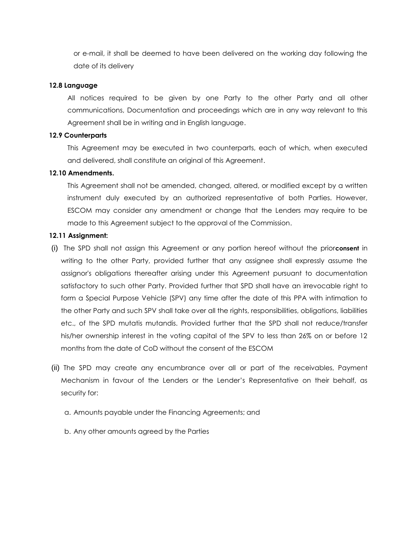or e-mail, it shall be deemed to have been delivered on the working day following the date of its delivery

#### **12.8 Language**

All notices required to be given by one Party to the other Party and all other communications, Documentation and proceedings which are in any way relevant to this Agreement shall be in writing and in English language.

## **12.9 Counterparts**

This Agreement may be executed in two counterparts, each of which, when executed and delivered, shall constitute an original of this Agreement.

## **12.10 Amendments.**

This Agreement shall not be amended, changed, altered, or modified except by a written instrument duly executed by an authorized representative of both Parties. However, ESCOM may consider any amendment or change that the Lenders may require to be made to this Agreement subject to the approval of the Commission.

## **12.11 Assignment:**

- (i) The SPD shall not assign this Agreement or any portion hereof without the prior**consent** in writing to the other Party, provided further that any assignee shall expressly assume the assignor's obligations thereafter arising under this Agreement pursuant to documentation satisfactory to such other Party. Provided further that SPD shall have an irrevocable right to form a Special Purpose Vehicle (SPV) any time after the date of this PPA with intimation to the other Party and such SPV shall take over all the rights, responsibilities, obligations, liabilities etc., of the SPD mutatis mutandis. Provided further that the SPD shall not reduce/transfer his/her ownership interest in the voting capital of the SPV to less than 26% on or before 12 months from the date of CoD without the consent of the ESCOM
- (ii) The SPD may create any encumbrance over all or part of the receivables, Payment Mechanism in favour of the Lenders or the Lender's Representative on their behalf, as security for:
	- a. Amounts payable under the Financing Agreements; and
	- b. Any other amounts agreed by the Parties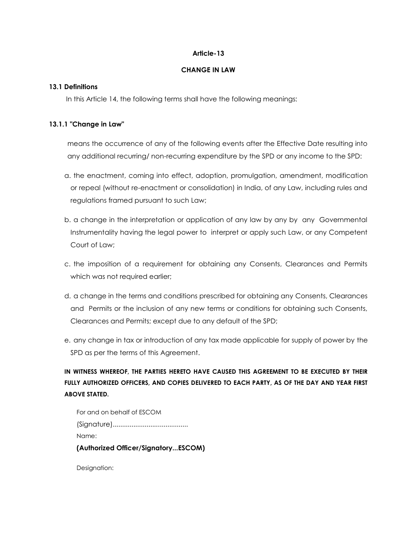## **Article-13**

#### **CHANGE IN LAW**

## **13.1 Definitions**

In this Article 14, the following terms shall have the following meanings:

## **13.1.1 "Change in Law"**

means the occurrence of any of the following events after the Effective Date resulting into any additional recurring/ non-recurring expenditure by the SPD or any income to the SPD:

- a. the enactment, coming into effect, adoption, promulgation, amendment, modification or repeal (without re-enactment or consolidation) in India, of any Law, including rules and regulations framed pursuant to such Law;
- b. a change in the interpretation or application of any law by any by any Governmental Instrumentality having the legal power to interpret or apply such Law, or any Competent Court of Law;
- c. the imposition of a requirement for obtaining any Consents, Clearances and Permits which was not required earlier;
- d. a change in the terms and conditions prescribed for obtaining any Consents, Clearances and Permits or the inclusion of any new terms or conditions for obtaining such Consents, Clearances and Permits; except due to any default of the SPD;
- e. any change in tax or introduction of any tax made applicable for supply of power by the SPD as per the terms of this Agreement.

**IN WITNESS WHEREOF, THE PARTIES HERETO HAVE CAUSED THIS AGREEMENT TO BE EXECUTED BY THEIR FULLY AUTHORIZED OFFICERS, AND COPIES DELIVERED TO EACH PARTY, AS OF THE DAY AND YEAR FIRST ABOVE STATED.** 

| (Authorized Officer/SignatoryESCOM) |
|-------------------------------------|
| Name:                               |
|                                     |
| For and on behalf of ESCOM          |

Designation: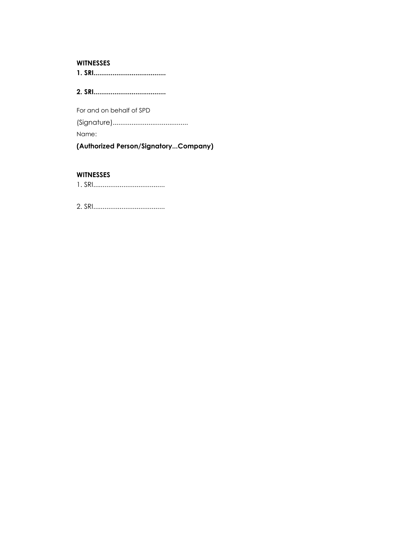#### **WITNESSES**

**1. SRI......................................**

**2. SRI......................................**

For and on behalf of SPD (Signature)........................................ Name:

**(Authorized Person/Signatory...Company)**

## **WITNESSES**

1. SRI......................................

2. SRI......................................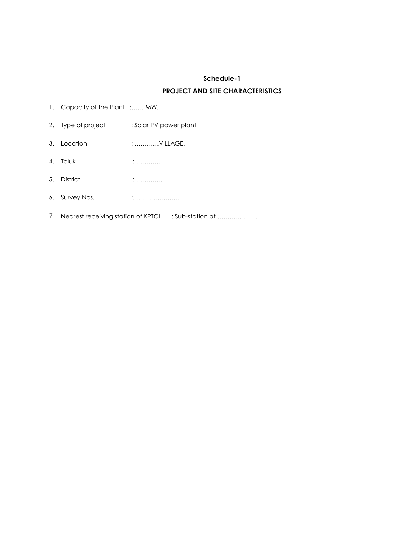# **Schedule-1 PROJECT AND SITE CHARACTERISTICS**

- 1. Capacity of the Plant :...... MW.
- 2. Type of project : Solar PV power plant
- 3. Location : …………VILLAGE.
- 4. Taluk : …………
- 5. District : ………….
- 6. Survey Nos. :…………………..
- 7. Nearest receiving station of KPTCL : Sub-station at ....................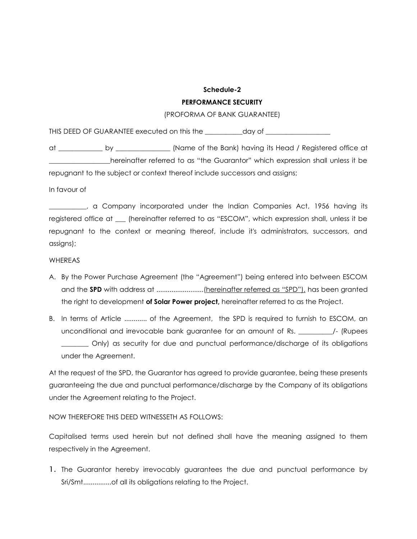# **Schedule-2 PERFORMANCE SECURITY**

## (PROFORMA OF BANK GUARANTEE)

THIS DEED OF GUARANTEE executed on this the \_\_\_\_\_\_\_\_\_\_\_day of \_\_\_\_\_\_\_\_\_\_\_\_\_\_\_\_\_\_\_

at \_\_\_\_\_\_\_\_\_\_\_\_\_ by \_\_\_\_\_\_\_\_\_\_\_\_\_\_\_\_ (Name of the Bank) having its Head / Registered office at \_\_\_\_\_\_\_\_\_\_\_\_\_\_\_\_\_\_hereinafter referred to as "the Guarantor" which expression shall unless it be repugnant to the subject or context thereof include successors and assigns;

In favour of

\_\_\_\_\_\_\_\_\_\_\_, a Company incorporated under the Indian Companies Act, 1956 having its registered office at \_\_\_ (hereinafter referred to as "ESCOM", which expression shall, unless it be repugnant to the context or meaning thereof, include it's administrators, successors, and assigns);

## **WHEREAS**

- A. By the Power Purchase Agreement (the "Agreement") being entered into between ESCOM and the **SPD** with address at .........................(hereinafter referred as "SPD"), has been granted the right to development **of Solar Power project,** hereinafter referred to as the Project.
- B. In terms of Article ............ of the Agreement, the SPD is required to furnish to ESCOM, an unconditional and irrevocable bank guarantee for an amount of Rs. \_\_\_\_\_\_\_\_\_\_/- (Rupees \_\_\_\_\_\_\_\_ Only) as security for due and punctual performance/discharge of its obligations under the Agreement.

At the request of the SPD, the Guarantor has agreed to provide guarantee, being these presents guaranteeing the due and punctual performance/discharge by the Company of its obligations under the Agreement relating to the Project.

NOW THEREFORE THIS DEED WITNESSETH AS FOLLOWS:

Capitalised terms used herein but not defined shall have the meaning assigned to them respectively in the Agreement.

1. The Guarantor hereby irrevocably guarantees the due and punctual performance by Sri/Smt...............of all its obligations relating to the Project.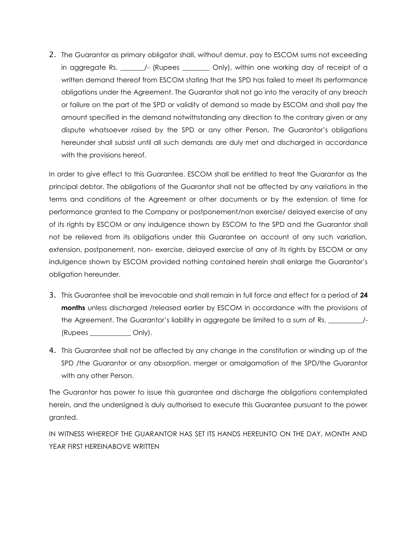2. The Guarantor as primary obligator shall, without demur, pay to ESCOM sums not exceeding in aggregate Rs. \_\_\_\_\_\_\_/- (Rupees \_\_\_\_\_\_\_\_ Only), within one working day of receipt of a written demand thereof from ESCOM stating that the SPD has failed to meet its performance obligations under the Agreement. The Guarantor shall not go into the veracity of any breach or failure on the part of the SPD or validity of demand so made by ESCOM and shall pay the amount specified in the demand notwithstanding any direction to the contrary given or any dispute whatsoever raised by the SPD or any other Person. The Guarantor's obligations hereunder shall subsist until all such demands are duly met and discharged in accordance with the provisions hereof.

In order to give effect to this Guarantee, ESCOM shall be entitled to treat the Guarantor as the principal debtor. The obligations of the Guarantor shall not be affected by any variations in the terms and conditions of the Agreement or other documents or by the extension of time for performance granted to the Company or postponement/non exercise/ delayed exercise of any of its rights by ESCOM or any indulgence shown by ESCOM to the SPD and the Guarantor shall not be relieved from its obligations under this Guarantee on account of any such variation, extension, postponement, non- exercise, delayed exercise of any of its rights by ESCOM or any indulgence shown by ESCOM provided nothing contained herein shall enlarge the Guarantor's obligation hereunder.

- 3. This Guarantee shall be irrevocable and shall remain in full force and effect for a period of **24 months** unless discharged /released earlier by ESCOM in accordance with the provisions of the Agreement. The Guarantor's liability in aggregate be limited to a sum of Rs. \_\_\_\_\_\_\_\_\_\_\_\_/-(Rupees \_\_\_\_\_\_\_\_\_\_\_\_ Only).
- 4. This Guarantee shall not be affected by any change in the constitution or winding up of the SPD /the Guarantor or any absorption, merger or amalgamation of the SPD/the Guarantor with any other Person.

The Guarantor has power to issue this guarantee and discharge the obligations contemplated herein, and the undersigned is duly authorised to execute this Guarantee pursuant to the power granted.

IN WITNESS WHEREOF THE GUARANTOR HAS SET ITS HANDS HEREUNTO ON THE DAY, MONTH AND YEAR FIRST HEREINABOVE WRITTEN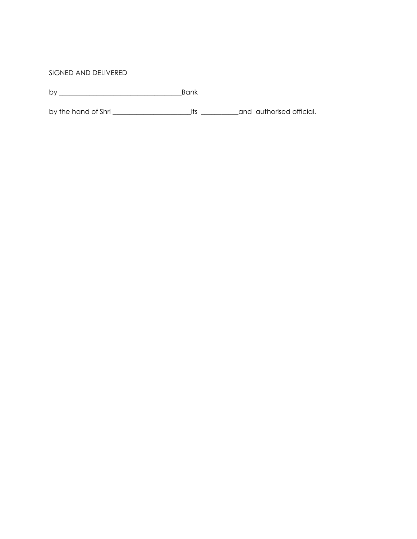## SIGNED AND DELIVERED

by \_\_\_\_\_\_\_\_\_\_\_\_\_\_\_\_\_\_\_\_\_\_\_\_\_\_\_\_\_\_\_\_\_\_\_\_Bank

by the hand of Shri \_\_\_\_\_\_\_\_\_\_\_\_\_\_\_\_\_\_\_\_\_\_\_its \_\_\_\_\_\_\_\_\_\_\_and authorised official.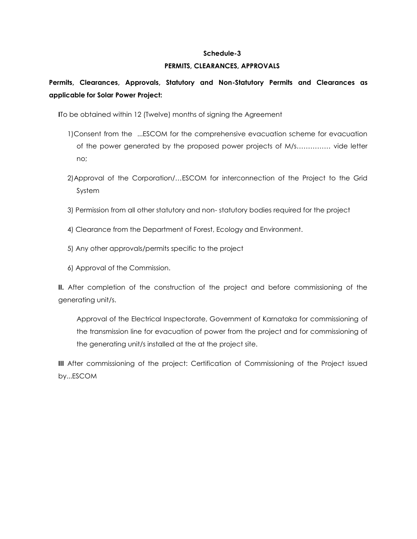#### **Schedule-3**

## **PERMITS, CLEARANCES, APPROVALS**

# **Permits, Clearances, Approvals, Statutory and Non-Statutory Permits and Clearances as applicable for Solar Power Project:**

**I**To be obtained within 12 (Twelve) months of signing the Agreement

- 1)Consent from the ...ESCOM for the comprehensive evacuation scheme for evacuation of the power generated by the proposed power projects of M/s…………… vide letter no;
- 2)Approval of the Corporation/…ESCOM for interconnection of the Project to the Grid System
- 3) Permission from all other statutory and non- statutory bodies required for the project
- 4) Clearance from the Department of Forest, Ecology and Environment.
- 5) Any other approvals/permits specific to the project
- 6) Approval of the Commission.

**II.** After completion of the construction of the project and before commissioning of the generating unit/s.

Approval of the Electrical Inspectorate, Government of Karnataka for commissioning of the transmission line for evacuation of power from the project and for commissioning of the generating unit/s installed at the at the project site.

**III** After commissioning of the project: Certification of Commissioning of the Project issued by...ESCOM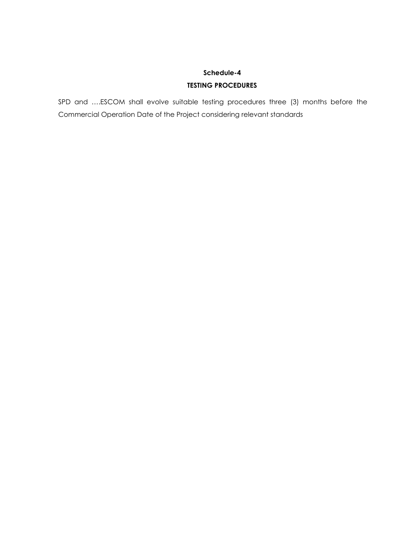# **Schedule-4 TESTING PROCEDURES**

SPD and ….ESCOM shall evolve suitable testing procedures three (3) months before the Commercial Operation Date of the Project considering relevant standards